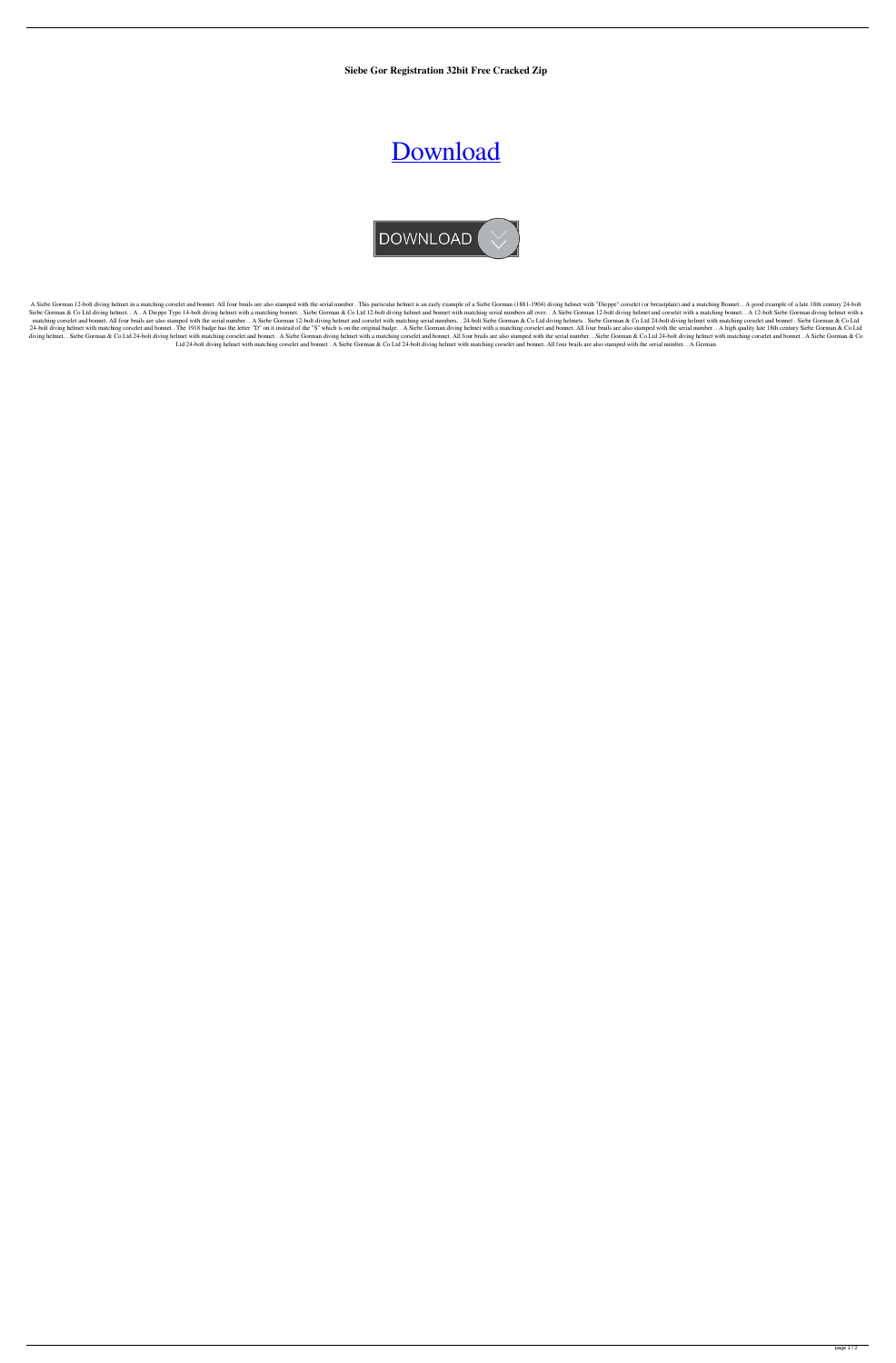**Siebe Gor Registration 32bit Free Cracked Zip**

## [Download](http://evacdir.com/ZG93bmxvYWR8VzJDTkhjMmZId3hOalV5TnpRd09EWTJmSHd5TlRjMGZId29UU2tnY21WaFpDMWliRzluSUZ0R1lYTjBJRWRGVGww/essberger/c2llYmUgZ29ybWFuIGRpdmluZyBoZWxtZXQgc2VyaWFsIG51bWJlcnMc2l.gurhan.oraclehumor.thehyips.ulcer/)



A Siebe Gorman 12-bolt diving helmet in a matching corselet and bonnet. All four brails are also stamped with the serial number. This particular helmet is an early example of a Siebe Gorman (1881-1904) diving helmet with " Siebe Gorman & Co Ltd diving helmet. . A . A Dieppe Type 14-bolt diving helmet with a matching bonnet. . Siebe Gorman & Co Ltd 12-bolt diving helmet and bonnet with matching serial numbers all over. . A Siebe Gorman 12-bol matching corselet and bonnet. All four brails are also stamped with the serial number. . A Siebe Gorman 12-bolt diving helmet and corselet with matching serial numbers. . 24-bolt Siebe Gorman & Co Ltd diving helmets . Sieb 24-bolt diving helmet with matching corselet and bonnet. The 1918 badge has the letter "D" on it instead of the "S" which is on the original badge.. A Siebe Gorman diving helmet with a matching corselet and bonnet. All fou diving helmet. . Siebe Gorman & Co Ltd 24-bolt diving helmet with matching corselet and bonnet. A Siebe Gorman diving helmet with a matching corselet and bonnet. All four brails are also stamped with the serial number. . S Ltd 24-bolt diving helmet with matching corselet and bonnet . A Siebe Gorman & Co Ltd 24-bolt diving helmet with matching corselet and bonnet. All four brails are also stamped with the serial number. . A German